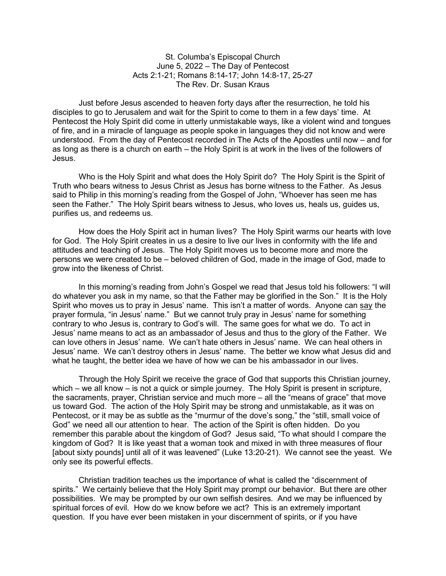St. Columba's Episcopal Church June 5, 2022 – The Day of Pentecost Acts 2:1-21; Romans 8:14-17; John 14:8-17, 25-27 The Rev. Dr. Susan Kraus

 Just before Jesus ascended to heaven forty days after the resurrection, he told his disciples to go to Jerusalem and wait for the Spirit to come to them in a few days' time. At Pentecost the Holy Spirit did come in utterly unmistakable ways, like a violent wind and tongues of fire, and in a miracle of language as people spoke in languages they did not know and were understood. From the day of Pentecost recorded in The Acts of the Apostles until now – and for as long as there is a church on earth – the Holy Spirit is at work in the lives of the followers of Jesus.

 Who is the Holy Spirit and what does the Holy Spirit do? The Holy Spirit is the Spirit of Truth who bears witness to Jesus Christ as Jesus has borne witness to the Father. As Jesus said to Philip in this morning's reading from the Gospel of John, "Whoever has seen me has seen the Father." The Holy Spirit bears witness to Jesus, who loves us, heals us, guides us, purifies us, and redeems us.

 How does the Holy Spirit act in human lives? The Holy Spirit warms our hearts with love for God. The Holy Spirit creates in us a desire to live our lives in conformity with the life and attitudes and teaching of Jesus. The Holy Spirit moves us to become more and more the persons we were created to be – beloved children of God, made in the image of God, made to grow into the likeness of Christ.

In this morning's reading from John's Gospel we read that Jesus told his followers: "I will do whatever you ask in my name, so that the Father may be glorified in the Son." It is the Holy Spirit who moves us to pray in Jesus' name. This isn't a matter of words. Anyone can say the prayer formula, "in Jesus' name." But we cannot truly pray in Jesus' name for something contrary to who Jesus is, contrary to God's will. The same goes for what we do. To act in Jesus' name means to act as an ambassador of Jesus and thus to the glory of the Father. We can love others in Jesus' name. We can't hate others in Jesus' name. We can heal others in Jesus' name. We can't destroy others in Jesus' name. The better we know what Jesus did and what he taught, the better idea we have of how we can be his ambassador in our lives.

 Through the Holy Spirit we receive the grace of God that supports this Christian journey, which – we all know – is not a quick or simple journey. The Holy Spirit is present in scripture, the sacraments, prayer, Christian service and much more – all the "means of grace" that move us toward God. The action of the Holy Spirit may be strong and unmistakable, as it was on Pentecost, or it may be as subtle as the "murmur of the dove's song," the "still, small voice of God" we need all our attention to hear. The action of the Spirit is often hidden. Do you remember this parable about the kingdom of God? Jesus said, "To what should I compare the kingdom of God? It is like yeast that a woman took and mixed in with three measures of flour [about sixty pounds] until all of it was leavened" (Luke 13:20-21). We cannot see the yeast. We only see its powerful effects.

Christian tradition teaches us the importance of what is called the "discernment of spirits." We certainly believe that the Holy Spirit may prompt our behavior. But there are other possibilities. We may be prompted by our own selfish desires. And we may be influenced by spiritual forces of evil. How do we know before we act? This is an extremely important question. If you have ever been mistaken in your discernment of spirits, or if you have